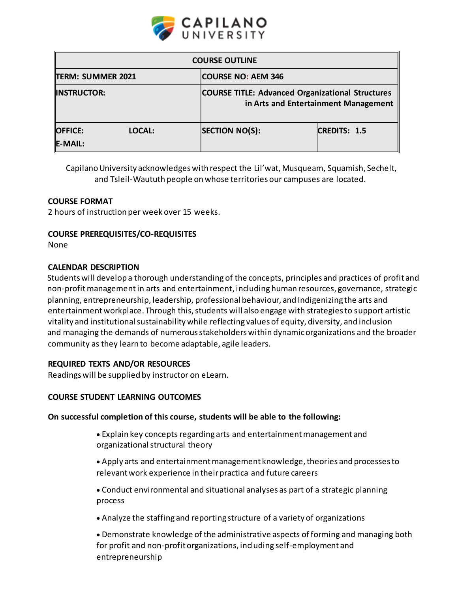

| <b>COURSE OUTLINE</b>                      |                                                                                                 |                     |  |  |
|--------------------------------------------|-------------------------------------------------------------------------------------------------|---------------------|--|--|
| TERM: SUMMER 2021                          | <b>COURSE NO: AEM 346</b>                                                                       |                     |  |  |
| <b>INSTRUCTOR:</b>                         | <b>COURSE TITLE: Advanced Organizational Structures</b><br>in Arts and Entertainment Management |                     |  |  |
| <b>OFFICE:</b><br>LOCAL:<br><b>E-MAIL:</b> | <b>SECTION NO(S):</b>                                                                           | <b>CREDITS: 1.5</b> |  |  |

Capilano University acknowledges with respect the Lil'wat, Musqueam, Squamish, Sechelt, and Tsleil-Waututh people on whose territories our campuses are located.

# **COURSE FORMAT**

2 hours of instruction per week over 15 weeks.

## **COURSE PREREQUISITES/CO-REQUISITES**

None

## **CALENDAR DESCRIPTION**

Students will develop a thorough understanding of the concepts, principles and practices of profit and non-profit management in arts and entertainment, including human resources, governance, strategic planning, entrepreneurship, leadership, professional behaviour, and Indigenizing the arts and entertainmentworkplace. Through this, students will also engage with strategies to support artistic vitality and institutional sustainability while reflecting values of equity, diversity, and inclusion and managing the demands of numerous stakeholders within dynamic organizations and the broader community as they learn to become adaptable, agile leaders.

## **REQUIRED TEXTS AND/OR RESOURCES**

Readings will be supplied by instructor on eLearn.

## **COURSE STUDENT LEARNING OUTCOMES**

## **On successful completion of this course, students will be able to the following:**

- Explain key concepts regarding arts and entertainment management and organizational structural theory
- Apply arts and entertainment management knowledge, theories and processes to relevant work experience in their practica and future careers
- Conduct environmental and situational analyses as part of a strategic planning process
- Analyze the staffing and reporting structure of a variety of organizations

 Demonstrate knowledge of the administrative aspects of forming and managing both for profit and non-profit organizations, including self-employment and entrepreneurship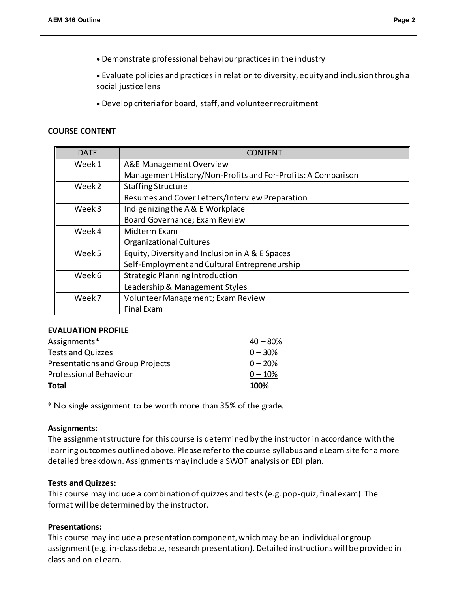Demonstrate professional behaviour practices in the industry

 Evaluate policies and practices in relation to diversity, equity and inclusion through a social justice lens

Develop criteria for board, staff, and volunteer recruitment

## **COURSE CONTENT**

| DATE              | CONTENT                                                      |  |  |
|-------------------|--------------------------------------------------------------|--|--|
| Week1             | <b>A&amp;E Management Overview</b>                           |  |  |
|                   | Management History/Non-Profits and For-Profits: A Comparison |  |  |
| Week <sub>2</sub> | <b>Staffing Structure</b>                                    |  |  |
|                   | Resumes and Cover Letters/Interview Preparation              |  |  |
| Week3             | Indigenizing the A & E Workplace                             |  |  |
|                   | Board Governance; Exam Review                                |  |  |
| Week4             | Midterm Exam                                                 |  |  |
|                   | <b>Organizational Cultures</b>                               |  |  |
| Week 5            | Equity, Diversity and Inclusion in A & E Spaces              |  |  |
|                   | Self-Employment and Cultural Entrepreneurship                |  |  |
| Week 6            | <b>Strategic Planning Introduction</b>                       |  |  |
|                   | Leadership & Management Styles                               |  |  |
| Week7             | Volunteer Management; Exam Review                            |  |  |
|                   | <b>Final Exam</b>                                            |  |  |

## **EVALUATION PROFILE**

| Total                                   | 100%       |
|-----------------------------------------|------------|
| Professional Behaviour                  | $0 - 10%$  |
| <b>Presentations and Group Projects</b> | $0 - 20%$  |
| <b>Tests and Quizzes</b>                | $0 - 30%$  |
| Assignments*                            | $40 - 80%$ |

\* No single assignment to be worth more than 35% of the grade.

## **Assignments:**

The assignment structure for this course is determined by the instructor in accordance with the learning outcomes outlined above. Please refer to the course syllabus and eLearn site for a more detailed breakdown. Assignments may include a SWOT analysis or EDI plan.

## **Tests and Quizzes:**

This course may include a combination of quizzes and tests (e.g. pop-quiz, final exam). The format will be determined by the instructor.

## **Presentations:**

This course may include a presentation component, which may be an individual or group assignment (e.g. in-class debate, research presentation). Detailed instructions will be provided in class and on eLearn.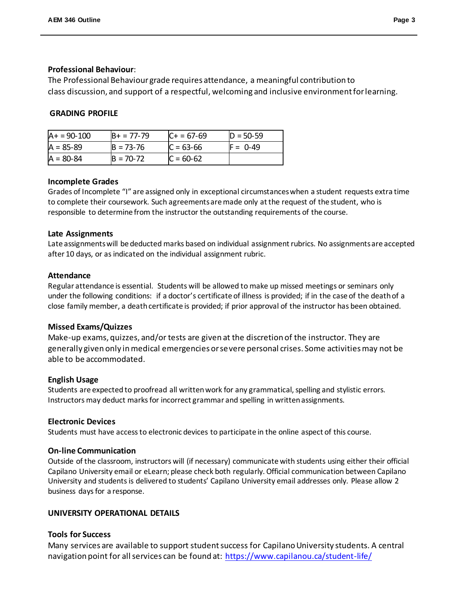## **Professional Behaviour**:

The Professional Behaviour grade requires attendance, a meaningful contribution to class discussion, and support of a respectful, welcoming and inclusive environment for learning.

# **GRADING PROFILE**

| $A+ = 90-100$ | $B+ = 77-79$  | $C + 57-69$ | $D = 50 - 59$ |
|---------------|---------------|-------------|---------------|
| $A = 85 - 89$ | $B = 73 - 76$ | $C = 63-66$ | $F = 0.49$    |
| $A = 80-84$   | $B = 70-72$   | $C = 60-62$ |               |

## **Incomplete Grades**

Grades of Incomplete "I" are assigned only in exceptional circumstances when a student requests extra time to complete their coursework. Such agreements are made only at the request of the student, who is responsible to determine from the instructor the outstanding requirements of the course.

## **Late Assignments**

Late assignments will be deducted marks based on individual assignment rubrics. No assignments are accepted after 10 days, or as indicated on the individual assignment rubric.

## **Attendance**

Regular attendance is essential. Students will be allowed to make up missed meetings or seminars only under the following conditions: if a doctor's certificate of illness is provided; if in the case of the death of a close family member, a death certificate is provided; if prior approval of the instructor has been obtained.

# **Missed Exams/Quizzes**

Make-up exams, quizzes, and/or tests are given at the discretion of the instructor. They are generally given only in medical emergencies or severe personal crises. Some activities may not be able to be accommodated.

## **English Usage**

Students are expected to proofread all written work for any grammatical, spelling and stylistic errors. Instructors may deduct marks for incorrect grammar and spelling in written assignments.

## **Electronic Devices**

Students must have access to electronic devices to participate in the online aspect of this course.

## **On-line Communication**

Outside of the classroom, instructors will (if necessary) communicate with students using either their official Capilano University email or eLearn; please check both regularly. Official communication between Capilano University and students is delivered to students' Capilano University email addresses only. Please allow 2 business days for a response.

## **UNIVERSITY OPERATIONAL DETAILS**

## **Tools for Success**

Many services are available to support studentsuccess for Capilano University students. A central navigation point for all services can be found at: <https://www.capilanou.ca/student-life/>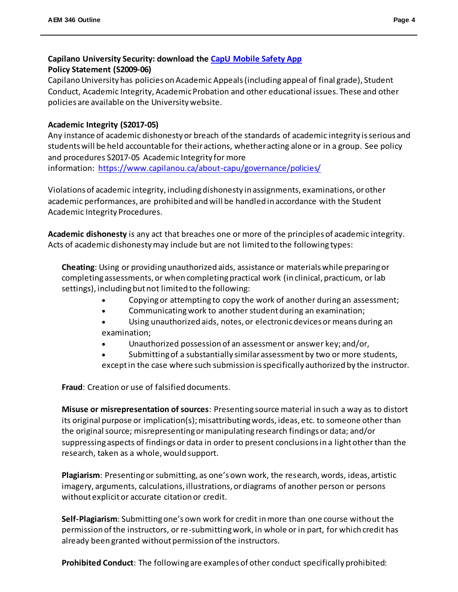# **Capilano University Security: download the [CapU Mobile Safety App](https://www.capilanou.ca/student-life/support--wellness/safety--security/capu-safe-app/) Policy Statement (S2009-06)**

Capilano University has policies on Academic Appeals (including appeal of final grade), Student Conduct, Academic Integrity, Academic Probation and other educational issues. These and other policies are available on the University website.

# **Academic Integrity (S2017-05)**

Any instance of academic dishonesty or breach of the standards of academic integrity is serious and students will be held accountable for their actions, whether acting alone or in a group. See policy and procedures S2017-05 Academic Integrity for more information: <https://www.capilanou.ca/about-capu/governance/policies/>

Violations of academic integrity, including dishonesty in assignments, examinations, or other academic performances, are prohibited and will be handled in accordance with the Student Academic Integrity Procedures.

**Academic dishonesty** is any act that breaches one or more of the principles of academic integrity. Acts of academic dishonesty may include but are not limited to the following types:

**Cheating**: Using or providing unauthorized aids, assistance or materials while preparing or completing assessments, or when completing practical work (in clinical, practicum, or lab settings), including but not limited to the following:

- Copying or attempting to copy the work of another during an assessment;
- Communicating work to another student during an examination;
- Using unauthorized aids, notes, or electronic devices or means during an examination;
- Unauthorized possession of an assessment or answer key; and/or,
- Submitting of a substantially similar assessment by two or more students, except in the case where such submission is specifically authorized by the instructor.

**Fraud**: Creation or use of falsified documents.

**Misuse or misrepresentation of sources**: Presenting source material in such a way as to distort its original purpose or implication(s); misattributing words, ideas, etc. to someone other than the original source; misrepresenting or manipulating research findings or data; and/or suppressing aspects of findings or data in order to present conclusions in a light other than the research, taken as a whole, would support.

**Plagiarism**: Presenting or submitting, as one's own work, the research, words, ideas, artistic imagery, arguments, calculations, illustrations, or diagrams of another person or persons without explicit or accurate citation or credit.

**Self-Plagiarism**: Submitting one's own work for credit in more than one course without the permission of the instructors, or re-submitting work, in whole or in part, for which credit has already been granted without permission of the instructors.

**Prohibited Conduct**: The following are examples of other conduct specifically prohibited: